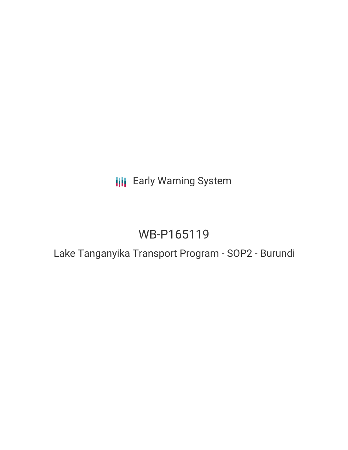## **III** Early Warning System

# WB-P165119

### Lake Tanganyika Transport Program - SOP2 - Burundi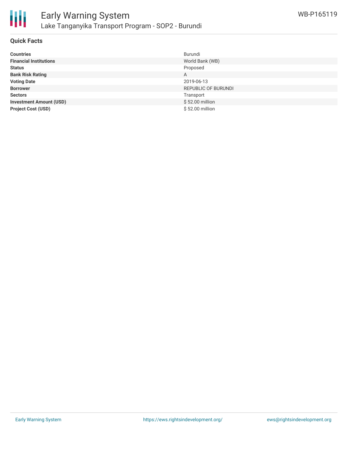

#### **Quick Facts**

| <b>Countries</b>               | Burundi             |
|--------------------------------|---------------------|
| <b>Financial Institutions</b>  | World Bank (WB)     |
| <b>Status</b>                  | Proposed            |
| <b>Bank Risk Rating</b>        | A                   |
| <b>Voting Date</b>             | 2019-06-13          |
| <b>Borrower</b>                | REPUBLIC OF BURUNDI |
| <b>Sectors</b>                 | Transport           |
| <b>Investment Amount (USD)</b> | \$52.00 million     |
| <b>Project Cost (USD)</b>      | \$52.00 million     |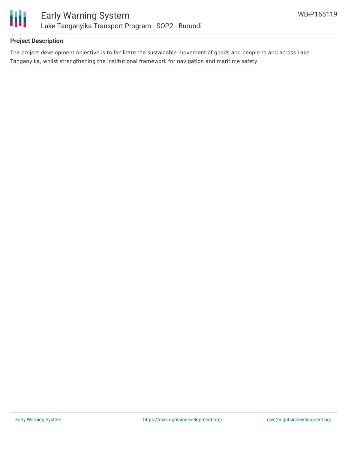

#### **Project Description**

The project development objective is to facilitate the sustainable movement of goods and people to and across Lake Tanganyika, whilst strengthening the institutional framework for navigation and maritime safety.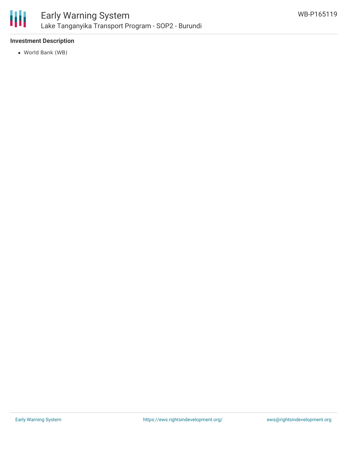

#### **Investment Description**

World Bank (WB)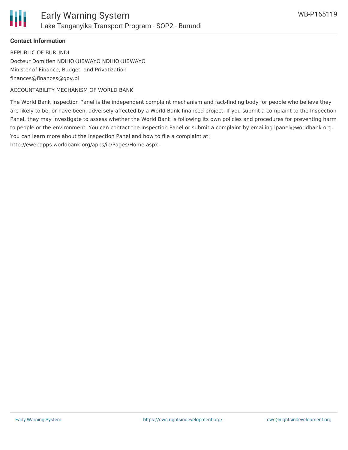

#### **Contact Information**

REPUBLIC OF BURUNDI Docteur Domitien NDIHOKUBWAYO NDIHOKUBWAYO Minister of Finance, Budget, and Privatization finances@finances@gov.bi

ACCOUNTABILITY MECHANISM OF WORLD BANK

The World Bank Inspection Panel is the independent complaint mechanism and fact-finding body for people who believe they are likely to be, or have been, adversely affected by a World Bank-financed project. If you submit a complaint to the Inspection Panel, they may investigate to assess whether the World Bank is following its own policies and procedures for preventing harm to people or the environment. You can contact the Inspection Panel or submit a complaint by emailing ipanel@worldbank.org. You can learn more about the Inspection Panel and how to file a complaint at:

http://ewebapps.worldbank.org/apps/ip/Pages/Home.aspx.